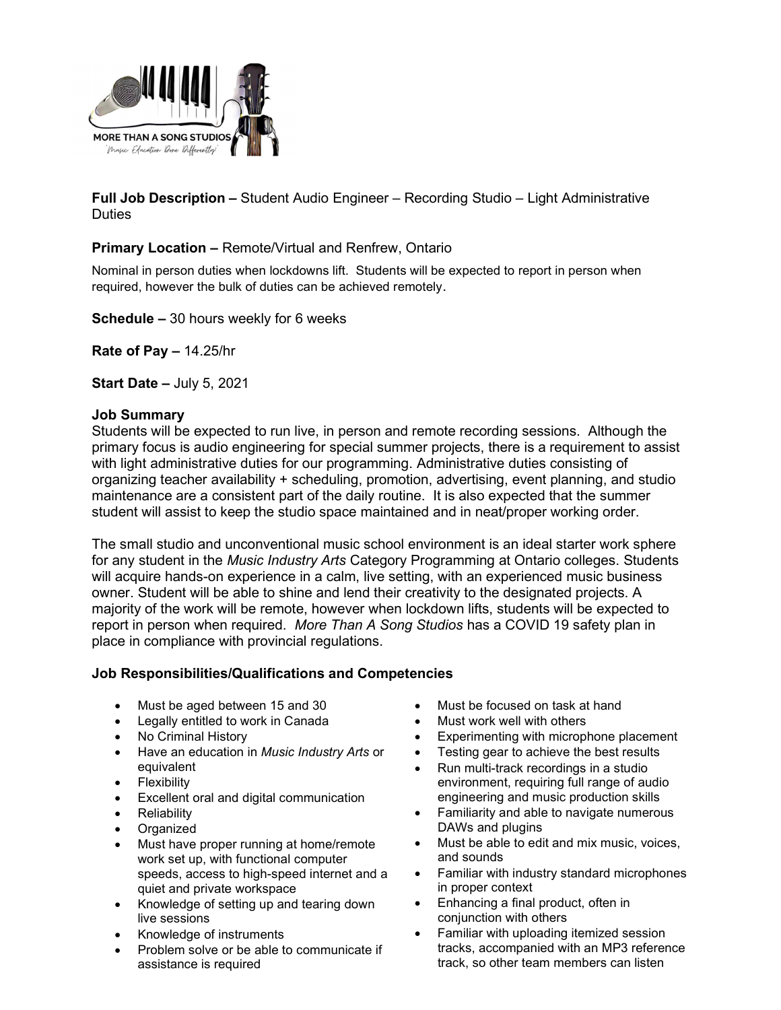

Full Job Description – Student Audio Engineer – Recording Studio – Light Administrative **Duties** 

## Primary Location – Remote/Virtual and Renfrew, Ontario

Nominal in person duties when lockdowns lift. Students will be expected to report in person when required, however the bulk of duties can be achieved remotely.

Schedule – 30 hours weekly for 6 weeks

Rate of Pay – 14.25/hr

Start Date – July 5, 2021

#### Job Summary

Students will be expected to run live, in person and remote recording sessions. Although the primary focus is audio engineering for special summer projects, there is a requirement to assist with light administrative duties for our programming. Administrative duties consisting of organizing teacher availability + scheduling, promotion, advertising, event planning, and studio maintenance are a consistent part of the daily routine. It is also expected that the summer student will assist to keep the studio space maintained and in neat/proper working order.

The small studio and unconventional music school environment is an ideal starter work sphere for any student in the Music Industry Arts Category Programming at Ontario colleges. Students will acquire hands-on experience in a calm, live setting, with an experienced music business owner. Student will be able to shine and lend their creativity to the designated projects. A majority of the work will be remote, however when lockdown lifts, students will be expected to report in person when required. More Than A Song Studios has a COVID 19 safety plan in place in compliance with provincial regulations.

#### Job Responsibilities/Qualifications and Competencies

- Must be aged between 15 and 30
- Legally entitled to work in Canada
- No Criminal History
- Have an education in Music Industry Arts or equivalent
- **•** Flexibility
- Excellent oral and digital communication
- Reliability
- Organized
- Must have proper running at home/remote work set up, with functional computer speeds, access to high-speed internet and a quiet and private workspace
- Knowledge of setting up and tearing down live sessions
- Knowledge of instruments
- Problem solve or be able to communicate if assistance is required
- Must be focused on task at hand
- Must work well with others
- Experimenting with microphone placement
- Testing gear to achieve the best results
- Run multi-track recordings in a studio environment, requiring full range of audio engineering and music production skills
- Familiarity and able to navigate numerous DAWs and plugins
- Must be able to edit and mix music, voices, and sounds
- Familiar with industry standard microphones in proper context
- Enhancing a final product, often in conjunction with others
- Familiar with uploading itemized session tracks, accompanied with an MP3 reference track, so other team members can listen